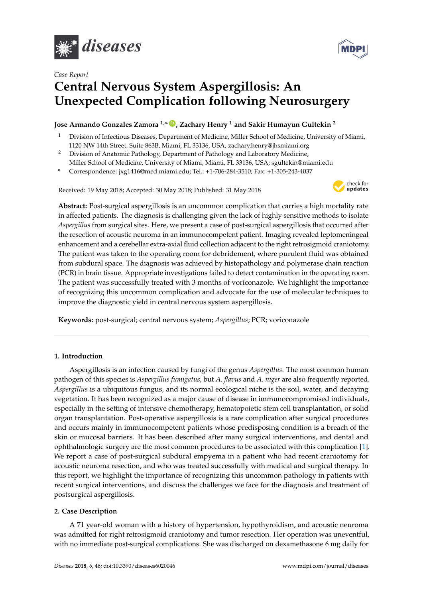





# **Central Nervous System Aspergillosis: An Unexpected Complication following Neurosurgery**

## **Jose Armando Gonzales Zamora 1,\* [ID](https://orcid.org/0000-0002-2768-9712) , Zachary Henry <sup>1</sup> and Sakir Humayun Gultekin <sup>2</sup>**

- <sup>1</sup> Division of Infectious Diseases, Department of Medicine, Miller School of Medicine, University of Miami, 1120 NW 14th Street, Suite 863B, Miami, FL 33136, USA; zachary.henry@jhsmiami.org
- <sup>2</sup> Division of Anatomic Pathology, Department of Pathology and Laboratory Medicine, Miller School of Medicine, University of Miami, Miami, FL 33136, USA; sgultekin@miami.edu
- **\*** Correspondence: jxg1416@med.miami.edu; Tel.: +1-706-284-3510; Fax: +1-305-243-4037

Received: 19 May 2018; Accepted: 30 May 2018; Published: 31 May 2018



**Abstract:** Post-surgical aspergillosis is an uncommon complication that carries a high mortality rate in affected patients. The diagnosis is challenging given the lack of highly sensitive methods to isolate *Aspergillus* from surgical sites. Here, we present a case of post-surgical aspergillosis that occurred after the resection of acoustic neuroma in an immunocompetent patient. Imaging revealed leptomeningeal enhancement and a cerebellar extra-axial fluid collection adjacent to the right retrosigmoid craniotomy. The patient was taken to the operating room for debridement, where purulent fluid was obtained from subdural space. The diagnosis was achieved by histopathology and polymerase chain reaction (PCR) in brain tissue. Appropriate investigations failed to detect contamination in the operating room. The patient was successfully treated with 3 months of voriconazole. We highlight the importance of recognizing this uncommon complication and advocate for the use of molecular techniques to improve the diagnostic yield in central nervous system aspergillosis.

**Keywords:** post-surgical; central nervous system; *Aspergillus*; PCR; voriconazole

### **1. Introduction**

Aspergillosis is an infection caused by fungi of the genus *Aspergillus*. The most common human pathogen of this species is *Aspergillus fumigatus*, but *A. flavus* and *A. niger* are also frequently reported. *Aspergillus* is a ubiquitous fungus, and its normal ecological niche is the soil, water, and decaying vegetation. It has been recognized as a major cause of disease in immunocompromised individuals, especially in the setting of intensive chemotherapy, hematopoietic stem cell transplantation, or solid organ transplantation. Post-operative aspergillosis is a rare complication after surgical procedures and occurs mainly in immunocompetent patients whose predisposing condition is a breach of the skin or mucosal barriers. It has been described after many surgical interventions, and dental and ophthalmologic surgery are the most common procedures to be associated with this complication [\[1\]](#page-6-0). We report a case of post-surgical subdural empyema in a patient who had recent craniotomy for acoustic neuroma resection, and who was treated successfully with medical and surgical therapy. In this report, we highlight the importance of recognizing this uncommon pathology in patients with recent surgical interventions, and discuss the challenges we face for the diagnosis and treatment of postsurgical aspergillosis.

### **2. Case Description**

A 71 year-old woman with a history of hypertension, hypothyroidism, and acoustic neuroma was admitted for right retrosigmoid craniotomy and tumor resection. Her operation was uneventful, with no immediate post-surgical complications. She was discharged on dexamethasone 6 mg daily for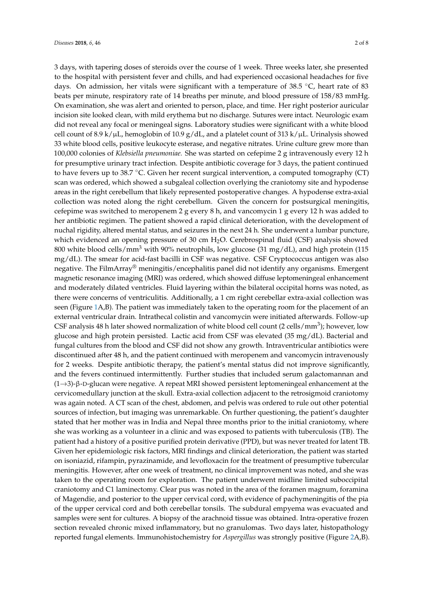3 days, with tapering doses of steroids over the course of 1 week. Three weeks later, she presented to the hospital with persistent fever and chills, and had experienced occasional headaches for five days. On admission, her vitals were significant with a temperature of  $38.5 \degree C$ , heart rate of  $83$ beats per minute, respiratory rate of 14 breaths per minute, and blood pressure of 158/83 mmHg. On examination, she was alert and oriented to person, place, and time. Her right posterior auricular incision site looked clean, with mild erythema but no discharge. Sutures were intact. Neurologic exam did not reveal any focal or meningeal signs. Laboratory studies were significant with a white blood cell count of 8.9 k/ $\mu$ L, hemoglobin of 10.9 g/dL, and a platelet count of 313 k/ $\mu$ L. Urinalysis showed 33 white blood cells, positive leukocyte esterase, and negative nitrates. Urine culture grew more than 100,000 colonies of *Klebsiella pneumoniae.* She was started on cefepime 2 g intravenously every 12 h for presumptive urinary tract infection. Despite antibiotic coverage for 3 days, the patient continued to have fevers up to 38.7 ◦C. Given her recent surgical intervention, a computed tomography (CT) scan was ordered, which showed a subgaleal collection overlying the craniotomy site and hypodense areas in the right cerebellum that likely represented postoperative changes. A hypodense extra-axial collection was noted along the right cerebellum. Given the concern for postsurgical meningitis, cefepime was switched to meropenem 2 g every 8 h, and vancomycin 1 g every 12 h was added to her antibiotic regimen. The patient showed a rapid clinical deterioration, with the development of nuchal rigidity, altered mental status, and seizures in the next 24 h. She underwent a lumbar puncture, which evidenced an opening pressure of 30 cm  $H_2O$ . Cerebrospinal fluid (CSF) analysis showed 800 white blood cells/mm<sup>3</sup> with 90% neutrophils, low glucose (31 mg/dL), and high protein (115 mg/dL). The smear for acid-fast bacilli in CSF was negative. CSF Cryptococcus antigen was also negative. The FilmArray® meningitis/encephalitis panel did not identify any organisms. Emergent magnetic resonance imaging (MRI) was ordered, which showed diffuse leptomeningeal enhancement and moderately dilated ventricles. Fluid layering within the bilateral occipital horns was noted, as there were concerns of ventriculitis. Additionally, a 1 cm right cerebellar extra-axial collection was seen (Figure [1A](#page-2-0),B). The patient was immediately taken to the operating room for the placement of an external ventricular drain. Intrathecal colistin and vancomycin were initiated afterwards. Follow-up CSF analysis 48 h later showed normalization of white blood cell count (2 cells/mm<sup>3</sup>); however, low glucose and high protein persisted. Lactic acid from CSF was elevated (35 mg/dL). Bacterial and fungal cultures from the blood and CSF did not show any growth. Intraventricular antibiotics were discontinued after 48 h, and the patient continued with meropenem and vancomycin intravenously for 2 weeks. Despite antibiotic therapy, the patient's mental status did not improve significantly, and the fevers continued intermittently. Further studies that included serum galactomannan and (1→3)-β-D-glucan were negative. A repeat MRI showed persistent leptomeningeal enhancement at the cervicomedullary junction at the skull. Extra-axial collection adjacent to the retrosigmoid craniotomy was again noted. A CT scan of the chest, abdomen, and pelvis was ordered to rule out other potential sources of infection, but imaging was unremarkable. On further questioning, the patient's daughter stated that her mother was in India and Nepal three months prior to the initial craniotomy, where she was working as a volunteer in a clinic and was exposed to patients with tuberculosis (TB). The patient had a history of a positive purified protein derivative (PPD), but was never treated for latent TB. Given her epidemiologic risk factors, MRI findings and clinical deterioration, the patient was started on isoniazid, rifampin, pyrazinamide, and levofloxacin for the treatment of presumptive tubercular meningitis. However, after one week of treatment, no clinical improvement was noted, and she was taken to the operating room for exploration. The patient underwent midline limited suboccipital craniotomy and C1 laminectomy. Clear pus was noted in the area of the foramen magnum, foramina of Magendie, and posterior to the upper cervical cord, with evidence of pachymeningitis of the pia of the upper cervical cord and both cerebellar tonsils. The subdural empyema was evacuated and samples were sent for cultures. A biopsy of the arachnoid tissue was obtained. Intra-operative frozen section revealed chronic mixed inflammatory, but no granulomas. Two days later, histopathology reported fungal elements. Immunohistochemistry for *Aspergillus* was strongly positive (Figure [2A](#page-3-0),B).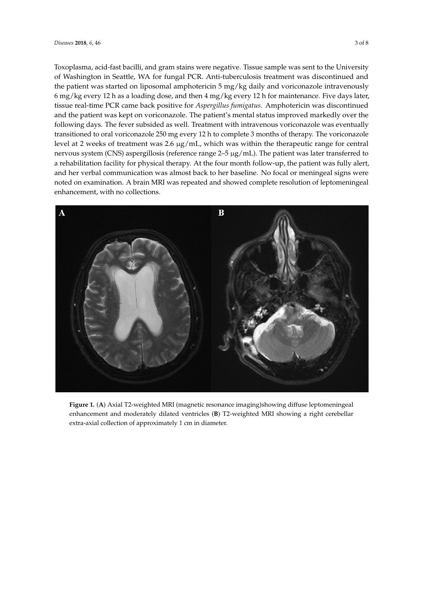Toxoplasma, acid-fast bacilli, and gram stains were negative. Tissue sample was sent to the University of Washington in Seattle, WA for fungal PCR. Anti-tuberculosis treatment was discontinued and the patient was started on liposomal amphotericin 5 mg/kg daily and voriconazole intravenously 6 mg/kg every 12 h as a loading dose, and then 4 mg/kg every 12 h for maintenance. Five days later, tissue real-time PCR came back positive for *Aspergillus fumigatus.* Amphotericin was discontinued PCR came back positive for *Aspergillus fumigatus.* Amphotericin was discontinued and the patient and the patient was kept on voriconazole. The patient's mental status improved markedly over the following days. The fever subsided as well. Treatment with intravenous voriconazole was eventually transitioned to oral voriconazole 250 mg every 12 h to complete 3 months of therapy. The voriconazole level at 2 weeks of treatment was 2.6  $\mu$ g/mL, which was within the therapeutic range for central nervous system (CNS) aspergillosis (reference range 2–5 μg/mL). The patient was later transferred to a rehabilitation facility for physical therapy. At the four month follow-up, the patient was fully alert, and her verbal communication was almost back to her baseline. No focal or meningeal signs were and her verbal communication was almost back to her baseline. No focal or meningeal signs were noted on examination. A brain MRI was repeated and showed complete resolution of leptomeningeal noted on examination. A brain MRI was repeated and showed complete resolution of leptomeningeal enhancement, with no collections. enhancement, with no collections.

<span id="page-2-0"></span>

**Figure 1.** (**A**) Axial T2‐weighted MRI (magnetic resonance imaging)showing diffuse leptomeningeal **Figure 1.** (**A**) Axial T2-weighted MRI (magnetic resonance imaging)showing diffuse leptomeningeal enhancement and moderately dilated ventricles (**B**) T2‐weighted MRI showing a right cerebellar enhancement and moderately dilated ventricles (**B**) T2-weighted MRI showing a right cerebellar extra‐axial collection of approximately 1 cm in diameter. extra-axial collection of approximately 1 cm in diameter.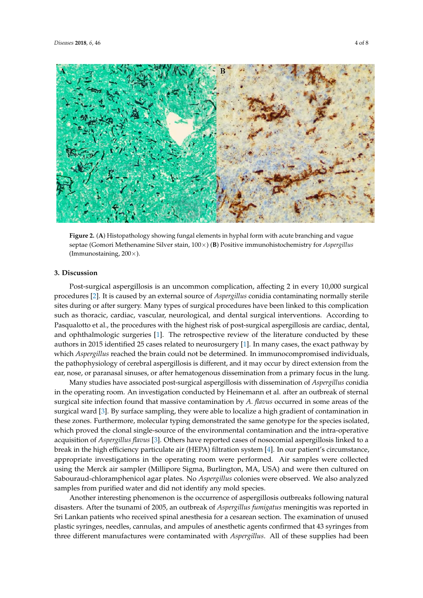<span id="page-3-0"></span>

Figure 2. (A) Histopathology showing fungal elements in hyphal form with acute branching and vague vague septae (Gomori Methenamine Silver stain, 100×) (**B**) Positive immunohistochemistry for septae (Gomori Methenamine Silver stain, 100×) (**B**) Positive immunohistochemistry for *Aspergillus Aspergillus* (Immunostaining, 200×). (Immunostaining, 200×).

# **3. Discussion 3. Discussion**

Post‐surgical aspergillosis is an uncommon complication, affecting 2 in every 10,000 surgical Post-surgical aspergillosis is an uncommon complication, affecting 2 in every 10,000 surgical procedures [2]. It is caused by an external source of *Aspergillus* conidia contaminating normally sterile procedures [\[2\]](#page-6-1). It is caused by an external source of *Aspergillus* conidia contaminating normally sterile sites during or after surgery. Many types of surgical procedures have been linked to this complication sites during or after surgery. Many types of surgical procedures have been linked to this complication such as thoracic, cardiac, vascular, neurological, and dental surgical interventions. According to such as thoracic, cardiac, vascular, neurological, and dental surgical interventions. According to Pasqualotto et al., the procedures with the highest risk of post‐surgical aspergillosis are cardiac, Pasqualotto et al., the procedures with the highest risk of post-surgical aspergillosis are cardiac, dental, and ophthalmologic surgeries [\[1\]](#page-6-0). The retrospective review of the literature conducted by these authors in 2015 identified 25 cases related to neurosurgery [\[1\]](#page-6-0). In many cases, the exact pathway by which *Aspergillus* reached the brain could not be determined. In immunocompromised individuals, individuals, the pathophysiology of cerebral aspergillosis is different, and it may occur by direct the pathophysiology of cerebral aspergillosis is different, and it may occur by direct extension from the extension from the ear, nose, or paranasal sinuses, or after hematogenous dissemination from a ear, nose, or paranasal sinuses, or after hematogenous dissemination from a primary focus in the lung.

primary focus in the lung. Many studies have associated post-surgical aspergillosis with dissemination of *Aspergillus* conidia Many studies have associated post‐surgical aspergillosis with dissemination of *Aspergillus* in the operating room. An investigation conducted by Heinemann et al. after an outbreak of sternal conidia in the operating room. An investigation conducted by Heinemann et al. after an outbreak of surgical site infection found that massive contamination by *A. flavus* occurred in some areas of the sternal surgical site infection found that massive contamination by *A. flavus* occurred in some areas surgical ward [\[3\]](#page-6-2). By surface sampling, they were able to localize a high gradient of contamination in of the surgical ward [3]. By surface sampling, they were able to localize a high gradient of these zones. Furthermore, molecular typing demonstrated the same genotype for the species isolated, which proved the clonal single-source of the environmental contamination and the intra-operative which proved the clonal single-source of the environmental contamination and the intra-operative the species isolated, which proved the clonal single‐source of the environmental contamination and acquisition of *Aspergillus flavus* [\[3\]](#page-6-2). Others have reported cases of nosocomial aspergillosis linked to a the intra‐operative acquisition of *Aspergillus flavus* [3]. Others have reported cases of nosocomial break in the high efficiency particulate air (HEPA) filtration system [\[4\]](#page-6-3). In our patient's circumstance, appropriate investigations in the operating room were performed. Air samples were collected our patient's circumstance, appropriate investigations in the operating room were performed. Air using the Merck air sampler (Millipore Sigma, Burlington, MA, USA) and were then cultured on samples were collected using the Merck air sampler (Millipore Sigma, Burlington, MA, USA) and Sabouraud-chloramphenicol agar plates. No *Aspergillus* colonies were observed. We also analyzed we culture discussive figure in Sabouraude on Sabouraude were colonies were colonies which the the change colonie<br>samples from purified water and did not identify any mold species.

Another interesting phenomenon is the occurrence of aspergillosis outbreaks following natural<br>Another interesting phenomenon is the occurrence of aspergillosis outbreaks following natural Another interesting phenomenon is the occurrence of aspergillosis outbreaks following natural disasters. After the tsunami of 2005, an outbreak of *Aspergillus fumigatus* meningitis was reported in disasters. After the tsunami of 2005, an outbreak of *Aspergillus fumigatus* meningitis was reported in Sri Lankan patients who received spinal anesthesia for a cesarean section. The examination of unused Sri Lankan patients who received spinal anesthesia for a cesarean section. The examination of unused plastic syringes, needles, cannulas, and ampules of anesthetic agents confirmed that 43 syringes from plastic syringes, needles, needles, and anti-plastic syringes, and anti-plastic agents confirmed that  $4$  syringes from a syringes from a syringes from a syringes from a syringes from a syringes from a syringes from a syr three different manufactures were contaminated with *Aspergillus*. All of these supplies had been three different manufactures were contaminated with *Aspergillus*. All of these supplies had been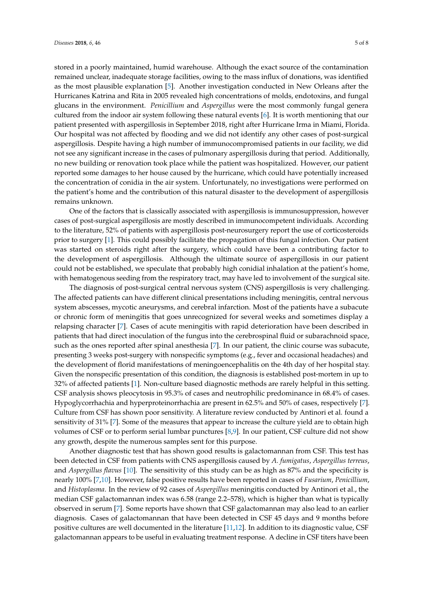stored in a poorly maintained, humid warehouse. Although the exact source of the contamination remained unclear, inadequate storage facilities, owing to the mass influx of donations, was identified as the most plausible explanation [\[5\]](#page-6-4). Another investigation conducted in New Orleans after the Hurricanes Katrina and Rita in 2005 revealed high concentrations of molds, endotoxins, and fungal glucans in the environment. *Penicillium* and *Aspergillus* were the most commonly fungal genera cultured from the indoor air system following these natural events [\[6\]](#page-6-5). It is worth mentioning that our patient presented with aspergillosis in September 2018, right after Hurricane Irma in Miami, Florida. Our hospital was not affected by flooding and we did not identify any other cases of post-surgical aspergillosis. Despite having a high number of immunocompromised patients in our facility, we did not see any significant increase in the cases of pulmonary aspergillosis during that period. Additionally, no new building or renovation took place while the patient was hospitalized. However, our patient reported some damages to her house caused by the hurricane, which could have potentially increased the concentration of conidia in the air system. Unfortunately, no investigations were performed on

remains unknown. One of the factors that is classically associated with aspergillosis is immunosuppression, however cases of post-surgical aspergillosis are mostly described in immunocompetent individuals. According to the literature, 52% of patients with aspergillosis post-neurosurgery report the use of corticosteroids prior to surgery [\[1\]](#page-6-0). This could possibly facilitate the propagation of this fungal infection. Our patient was started on steroids right after the surgery, which could have been a contributing factor to the development of aspergillosis. Although the ultimate source of aspergillosis in our patient could not be established, we speculate that probably high conidial inhalation at the patient's home, with hematogenous seeding from the respiratory tract, may have led to involvement of the surgical site.

the patient's home and the contribution of this natural disaster to the development of aspergillosis

The diagnosis of post-surgical central nervous system (CNS) aspergillosis is very challenging. The affected patients can have different clinical presentations including meningitis, central nervous system abscesses, mycotic aneurysms, and cerebral infarction. Most of the patients have a subacute or chronic form of meningitis that goes unrecognized for several weeks and sometimes display a relapsing character [\[7\]](#page-6-6). Cases of acute meningitis with rapid deterioration have been described in patients that had direct inoculation of the fungus into the cerebrospinal fluid or subarachnoid space, such as the ones reported after spinal anesthesia [\[7\]](#page-6-6). In our patient, the clinic course was subacute, presenting 3 weeks post-surgery with nonspecific symptoms (e.g., fever and occasional headaches) and the development of florid manifestations of meningoencephalitis on the 4th day of her hospital stay. Given the nonspecific presentation of this condition, the diagnosis is established post-mortem in up to 32% of affected patients [\[1\]](#page-6-0). Non-culture based diagnostic methods are rarely helpful in this setting. CSF analysis shows pleocytosis in 95.3% of cases and neutrophilic predominance in 68.4% of cases. Hypoglycorrhachia and hyperproteinorrhachia are present in 62.5% and 50% of cases, respectively [\[7\]](#page-6-6). Culture from CSF has shown poor sensitivity. A literature review conducted by Antinori et al. found a sensitivity of 31% [\[7\]](#page-6-6). Some of the measures that appear to increase the culture yield are to obtain high volumes of CSF or to perform serial lumbar punctures [\[8](#page-6-7)[,9\]](#page-6-8). In our patient, CSF culture did not show any growth, despite the numerous samples sent for this purpose.

Another diagnostic test that has shown good results is galactomannan from CSF. This test has been detected in CSF from patients with CNS aspergillosis caused by *A. fumigatus*, *Aspergillus terreus*, and *Aspergillus flavus* [\[10\]](#page-6-9). The sensitivity of this study can be as high as 87% and the specificity is nearly 100% [\[7](#page-6-6)[,10\]](#page-6-9). However, false positive results have been reported in cases of *Fusarium*, *Penicillium*, and *Histoplasma*. In the review of 92 cases of *Aspergillus* meningitis conducted by Antinori et al., the median CSF galactomannan index was 6.58 (range 2.2–578), which is higher than what is typically observed in serum [\[7\]](#page-6-6). Some reports have shown that CSF galactomannan may also lead to an earlier diagnosis. Cases of galactomannan that have been detected in CSF 45 days and 9 months before positive cultures are well documented in the literature [\[11](#page-6-10)[,12\]](#page-6-11). In addition to its diagnostic value, CSF galactomannan appears to be useful in evaluating treatment response. A decline in CSF titers have been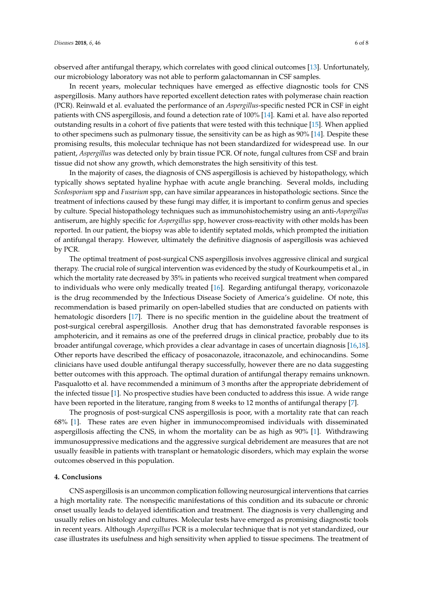observed after antifungal therapy, which correlates with good clinical outcomes [\[13\]](#page-6-12). Unfortunately, our microbiology laboratory was not able to perform galactomannan in CSF samples.

In recent years, molecular techniques have emerged as effective diagnostic tools for CNS aspergillosis. Many authors have reported excellent detection rates with polymerase chain reaction (PCR). Reinwald et al. evaluated the performance of an *Aspergillus*-specific nested PCR in CSF in eight patients with CNS aspergillosis, and found a detection rate of 100% [\[14\]](#page-6-13). Kami et al. have also reported outstanding results in a cohort of five patients that were tested with this technique [\[15\]](#page-7-0). When applied to other specimens such as pulmonary tissue, the sensitivity can be as high as 90% [\[14\]](#page-6-13). Despite these promising results, this molecular technique has not been standardized for widespread use. In our patient, *Aspergillus* was detected only by brain tissue PCR. Of note, fungal cultures from CSF and brain tissue did not show any growth, which demonstrates the high sensitivity of this test.

In the majority of cases, the diagnosis of CNS aspergillosis is achieved by histopathology, which typically shows septated hyaline hyphae with acute angle branching. Several molds, including *Scedosporium* spp and *Fusarium* spp, can have similar appearances in histopathologic sections. Since the treatment of infections caused by these fungi may differ, it is important to confirm genus and species by culture. Special histopathology techniques such as immunohistochemistry using an anti-*Aspergillus* antiserum, are highly specific for *Aspergillus* spp, however cross-reactivity with other molds has been reported. In our patient, the biopsy was able to identify septated molds, which prompted the initiation of antifungal therapy. However, ultimately the definitive diagnosis of aspergillosis was achieved by PCR.

The optimal treatment of post-surgical CNS aspergillosis involves aggressive clinical and surgical therapy. The crucial role of surgical intervention was evidenced by the study of Kourkoumpetis et al., in which the mortality rate decreased by 35% in patients who received surgical treatment when compared to individuals who were only medically treated [\[16\]](#page-7-1). Regarding antifungal therapy, voriconazole is the drug recommended by the Infectious Disease Society of America's guideline. Of note, this recommendation is based primarily on open-labelled studies that are conducted on patients with hematologic disorders [\[17\]](#page-7-2). There is no specific mention in the guideline about the treatment of post-surgical cerebral aspergillosis. Another drug that has demonstrated favorable responses is amphotericin, and it remains as one of the preferred drugs in clinical practice, probably due to its broader antifungal coverage, which provides a clear advantage in cases of uncertain diagnosis [\[16](#page-7-1)[,18\]](#page-7-3). Other reports have described the efficacy of posaconazole, itraconazole, and echinocandins. Some clinicians have used double antifungal therapy successfully, however there are no data suggesting better outcomes with this approach. The optimal duration of antifungal therapy remains unknown. Pasqualotto et al. have recommended a minimum of 3 months after the appropriate debridement of the infected tissue [\[1\]](#page-6-0). No prospective studies have been conducted to address this issue. A wide range have been reported in the literature, ranging from 8 weeks to 12 months of antifungal therapy [\[7\]](#page-6-6).

The prognosis of post-surgical CNS aspergillosis is poor, with a mortality rate that can reach 68% [\[1\]](#page-6-0). These rates are even higher in immunocompromised individuals with disseminated aspergillosis affecting the CNS, in whom the mortality can be as high as 90% [\[1\]](#page-6-0). Withdrawing immunosuppressive medications and the aggressive surgical debridement are measures that are not usually feasible in patients with transplant or hematologic disorders, which may explain the worse outcomes observed in this population.

#### **4. Conclusions**

CNS aspergillosis is an uncommon complication following neurosurgical interventions that carries a high mortality rate. The nonspecific manifestations of this condition and its subacute or chronic onset usually leads to delayed identification and treatment. The diagnosis is very challenging and usually relies on histology and cultures. Molecular tests have emerged as promising diagnostic tools in recent years. Although *Aspergillus* PCR is a molecular technique that is not yet standardized, our case illustrates its usefulness and high sensitivity when applied to tissue specimens. The treatment of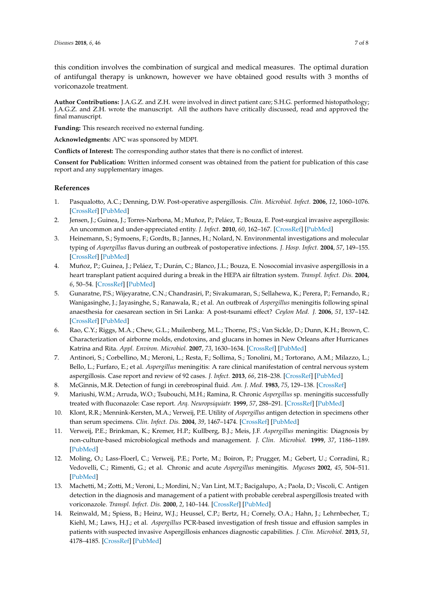this condition involves the combination of surgical and medical measures. The optimal duration of antifungal therapy is unknown, however we have obtained good results with 3 months of voriconazole treatment.

**Author Contributions:** J.A.G.Z. and Z.H. were involved in direct patient care; S.H.G. performed histopathology; J.A.G.Z. and Z.H. wrote the manuscript. All the authors have critically discussed, read and approved the final manuscript.

**Funding:** This research received no external funding.

**Acknowledgments:** APC was sponsored by MDPI.

**Conflicts of Interest:** The corresponding author states that there is no conflict of interest.

**Consent for Publication:** Written informed consent was obtained from the patient for publication of this case report and any supplementary images.

#### **References**

- <span id="page-6-0"></span>1. Pasqualotto, A.C.; Denning, D.W. Post-operative aspergillosis. *Clin. Microbiol. Infect.* **2006**, *12*, 1060–1076. [\[CrossRef\]](http://dx.doi.org/10.1111/j.1469-0691.2006.01512.x) [\[PubMed\]](http://www.ncbi.nlm.nih.gov/pubmed/17002605)
- <span id="page-6-1"></span>2. Jensen, J.; Guinea, J.; Torres-Narbona, M.; Muñoz, P.; Peláez, T.; Bouza, E. Post-surgical invasive aspergillosis: An uncommon and under-appreciated entity. *J. Infect.* **2010**, *60*, 162–167. [\[CrossRef\]](http://dx.doi.org/10.1016/j.jinf.2009.11.005) [\[PubMed\]](http://www.ncbi.nlm.nih.gov/pubmed/19932132)
- <span id="page-6-2"></span>3. Heinemann, S.; Symoens, F.; Gordts, B.; Jannes, H.; Nolard, N. Environmental investigations and molecular typing of *Aspergillus* flavus during an outbreak of postoperative infections. *J. Hosp. Infect.* **2004**, *57*, 149–155. [\[CrossRef\]](http://dx.doi.org/10.1016/j.jhin.2004.02.007) [\[PubMed\]](http://www.ncbi.nlm.nih.gov/pubmed/15183246)
- <span id="page-6-3"></span>4. Muñoz, P.; Guinea, J.; Peláez, T.; Durán, C.; Blanco, J.L.; Bouza, E. Nosocomial invasive aspergillosis in a heart transplant patient acquired during a break in the HEPA air filtration system. *Transpl. Infect. Dis.* **2004**, *6*, 50–54. [\[CrossRef\]](http://dx.doi.org/10.1111/j.1399-3062.2004.00047.x) [\[PubMed\]](http://www.ncbi.nlm.nih.gov/pubmed/15225229)
- <span id="page-6-4"></span>5. Gunaratne, P.S.; Wijeyaratne, C.N.; Chandrasiri, P.; Sivakumaran, S.; Sellahewa, K.; Perera, P.; Fernando, R.; Wanigasinghe, J.; Jayasinghe, S.; Ranawala, R.; et al. An outbreak of *Aspergillus* meningitis following spinal anaesthesia for caesarean section in Sri Lanka: A post-tsunami effect? *Ceylon Med. J.* **2006**, *51*, 137–142. [\[CrossRef\]](http://dx.doi.org/10.4038/cmj.v51i4.1142) [\[PubMed\]](http://www.ncbi.nlm.nih.gov/pubmed/17461323)
- <span id="page-6-5"></span>6. Rao, C.Y.; Riggs, M.A.; Chew, G.L.; Muilenberg, M.L.; Thorne, P.S.; Van Sickle, D.; Dunn, K.H.; Brown, C. Characterization of airborne molds, endotoxins, and glucans in homes in New Orleans after Hurricanes Katrina and Rita. *Appl. Environ. Microbiol.* **2007**, *73*, 1630–1634. [\[CrossRef\]](http://dx.doi.org/10.1128/AEM.01973-06) [\[PubMed\]](http://www.ncbi.nlm.nih.gov/pubmed/17209066)
- <span id="page-6-6"></span>7. Antinori, S.; Corbellino, M.; Meroni, L.; Resta, F.; Sollima, S.; Tonolini, M.; Tortorano, A.M.; Milazzo, L.; Bello, L.; Furfaro, E.; et al. *Aspergillus* meningitis: A rare clinical manifestation of central nervous system aspergillosis. Case report and review of 92 cases. *J. Infect.* **2013**, *66*, 218–238. [\[CrossRef\]](http://dx.doi.org/10.1016/j.jinf.2012.11.003) [\[PubMed\]](http://www.ncbi.nlm.nih.gov/pubmed/23178421)
- <span id="page-6-7"></span>8. McGinnis, M.R. Detection of fungi in cerebrospinal fluid. *Am. J. Med.* **1983**, *75*, 129–138. [\[CrossRef\]](http://dx.doi.org/10.1016/0002-9343(83)90084-0)
- <span id="page-6-8"></span>9. Mariushi, W.M.; Arruda, W.O.; Tsubouchi, M.H.; Ramina, R. Chronic *Aspergillus* sp. meningitis successfully treated with fluconazole: Case report. *Arq. Neuropsiquiatr.* **1999**, *57*, 288–291. [\[CrossRef\]](http://dx.doi.org/10.1590/S0004-282X1999000200020) [\[PubMed\]](http://www.ncbi.nlm.nih.gov/pubmed/10412532)
- <span id="page-6-9"></span>10. Klont, R.R.; Mennink-Kersten, M.A.; Verweij, P.E. Utility of *Aspergillus* antigen detection in specimens other than serum specimens. *Clin. Infect. Dis.* **2004**, *39*, 1467–1474. [\[CrossRef\]](http://dx.doi.org/10.1086/425317) [\[PubMed\]](http://www.ncbi.nlm.nih.gov/pubmed/15546083)
- <span id="page-6-10"></span>11. Verweij, P.E.; Brinkman, K.; Kremer, H.P.; Kullberg, B.J.; Meis, J.F. *Aspergillus* meningitis: Diagnosis by non-culture-based microbiological methods and management. *J. Clin. Microbiol.* **1999**, *37*, 1186–1189. [\[PubMed\]](http://www.ncbi.nlm.nih.gov/pubmed/10074549)
- <span id="page-6-11"></span>12. Moling, O.; Lass-Floerl, C.; Verweij, P.E.; Porte, M.; Boiron, P.; Prugger, M.; Gebert, U.; Corradini, R.; Vedovelli, C.; Rimenti, G.; et al. Chronic and acute *Aspergillus* meningitis. *Mycoses* **2002**, *45*, 504–511. [\[PubMed\]](http://www.ncbi.nlm.nih.gov/pubmed/12472730)
- <span id="page-6-12"></span>13. Machetti, M.; Zotti, M.; Veroni, L.; Mordini, N.; Van Lint, M.T.; Bacigalupo, A.; Paola, D.; Viscoli, C. Antigen detection in the diagnosis and management of a patient with probable cerebral aspergillosis treated with voriconazole. *Transpl. Infect. Dis.* **2000**, *2*, 140–144. [\[CrossRef\]](http://dx.doi.org/10.1034/j.1399-3062.2000.020307.x) [\[PubMed\]](http://www.ncbi.nlm.nih.gov/pubmed/11429025)
- <span id="page-6-13"></span>14. Reinwald, M.; Spiess, B.; Heinz, W.J.; Heussel, C.P.; Bertz, H.; Cornely, O.A.; Hahn, J.; Lehrnbecher, T.; Kiehl, M.; Laws, H.J.; et al. *Aspergillus* PCR-based investigation of fresh tissue and effusion samples in patients with suspected invasive Aspergillosis enhances diagnostic capabilities. *J. Clin. Microbiol.* **2013**, *51*, 4178–4185. [\[CrossRef\]](http://dx.doi.org/10.1128/JCM.02387-13) [\[PubMed\]](http://www.ncbi.nlm.nih.gov/pubmed/24108612)